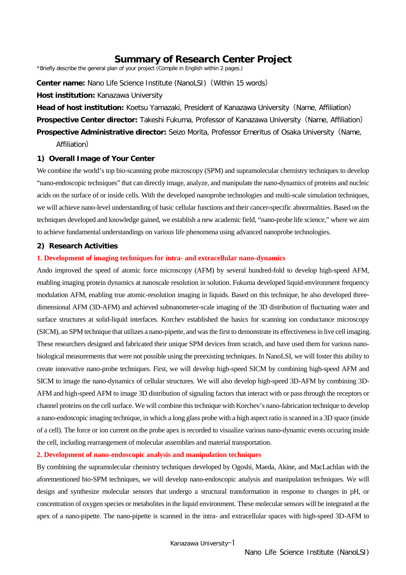# **Summary of Research Center Project**

\*Briefly describe the general plan of your project (Compile in English within 2 pages.)

**Center name:** Nano Life Science Institute (NanoLSI)(Within 15 words)

### **Host institution:** Kanazawa University

**Head of host institution:** Koetsu Yamazaki, President of Kanazawa University(Name, Affiliation) **Prospective Center director:** Takeshi Fukuma, Professor of Kanazawa University(Name, Affiliation) **Prospective Administrative director:** Seizo Morita, Professor Emeritus of Osaka University(Name,

Affiliation)

# **1) Overall Image of Your Center**

We combine the world's top bio-scanning probe microscopy (SPM) and supramolecular chemistry techniques to develop "nano-endoscopic techniques" that can directly image, analyze, and manipulate the nano-dynamics of proteins and nucleic acids on the surface of or inside cells. With the developed nanoprobe technologies and multi-scale simulation techniques, we will achieve nano-level understanding of basic cellular functions and their cancer-specific abnormalities. Based on the techniques developed and knowledge gained, we establish a new academic field, "nano-probe life science," where we aim to achieve fundamental understandings on various life phenomena using advanced nanoprobe technologies.

### **2) Research Activities**

#### **1. Development of imaging techniques for intra- and extracellular nano-dynamics**

Ando improved the speed of atomic force microscopy (AFM) by several hundred-fold to develop high-speed AFM, enabling imaging protein dynamics at nanoscale resolution in solution. Fukuma developed liquid-environment frequency modulation AFM, enabling true atomic-resolution imaging in liquids. Based on this technique, he also developed threedimensional AFM (3D-AFM) and achieved subnanometer-scale imaging of the 3D distribution of fluctuating water and surface structures at solid-liquid interfaces. Korchev established the basics for scanning ion conductance microscopy (SICM), an SPM technique that utilizes a nano-pipette, and was the first to demonstrate its effectiveness in live cell imaging. These researchers designed and fabricated their unique SPM devices from scratch, and have used them for various nanobiological measurements that were not possible using the preexisting techniques. In NanoLSI, we will foster this ability to create innovative nano-probe techniques. First, we will develop high-speed SICM by combining high-speed AFM and SICM to image the nano-dynamics of cellular structures. We will also develop high-speed 3D-AFM by combining 3D-AFM and high-speed AFM to image 3D distribution of signaling factors that interact with or pass through the receptors or channel proteins on the cell surface. We will combine this technique with Korchev's nano-fabrication technique to develop a nano-endoscopic imaging technique, in which a long glass probe with a high aspect ratio is scanned in a 3D space (inside of a cell). The force or ion current on the probe apex is recorded to visualize various nano-dynamic events occuring inside the cell, including rearrangement of molecular assemblies and material transportation.

# **2. Development of nano-endoscopic analysis and manipulation techniques**

By combining the supramolecular chemistry techniques developed by Ogoshi, Maeda, Akine, and MacLachlan with the aforementioned bio-SPM techniques, we will develop nano-endoscopic analysis and manipulation techniques. We will design and synthesize molecular sensors that undergo a structural transformation in response to changes in pH, or concentration of oxygen species or metabolites in the liquid environment. These molecular sensors will be integrated at the apex of a nano-pipette. The nano-pipette is scanned in the intra- and extracellular spaces with high-speed 3D-AFM to